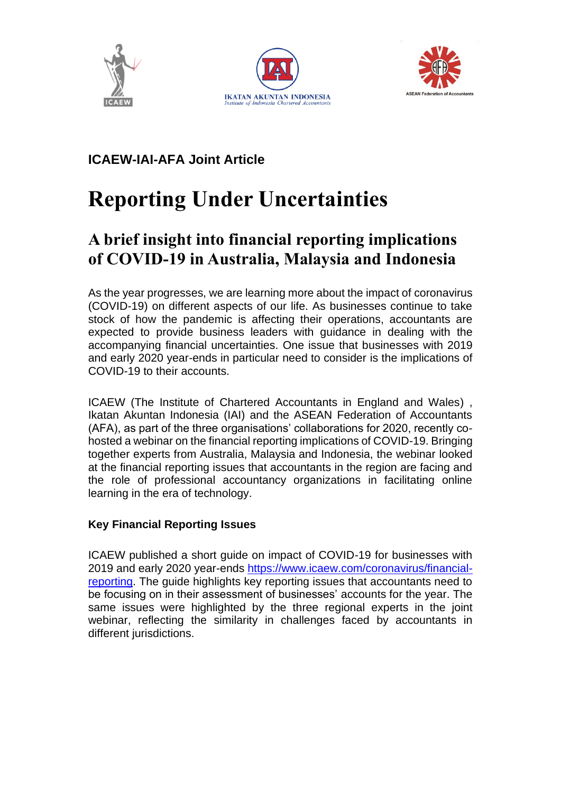





### **ICAEW-IAI-AFA Joint Article**

# **Reporting Under Uncertainties**

## **A brief insight into financial reporting implications of COVID-19 in Australia, Malaysia and Indonesia**

As the year progresses, we are learning more about the impact of coronavirus (COVID-19) on different aspects of our life. As businesses continue to take stock of how the pandemic is affecting their operations, accountants are expected to provide business leaders with guidance in dealing with the accompanying financial uncertainties. One issue that businesses with 2019 and early 2020 year-ends in particular need to consider is the implications of COVID-19 to their accounts.

ICAEW (The Institute of Chartered Accountants in England and Wales) , Ikatan Akuntan Indonesia (IAI) and the ASEAN Federation of Accountants (AFA), as part of the three organisations' collaborations for 2020, recently cohosted a webinar on the financial reporting implications of COVID-19. Bringing together experts from Australia, Malaysia and Indonesia, the webinar looked at the financial reporting issues that accountants in the region are facing and the role of professional accountancy organizations in facilitating online learning in the era of technology.

#### **Key Financial Reporting Issues**

ICAEW published a short guide on impact of COVID-19 for businesses with 2019 and early 2020 year-ends [https://www.icaew.com/coronavirus/financial](https://www.icaew.com/coronavirus/financial-reporting)[reporting.](https://www.icaew.com/coronavirus/financial-reporting) The guide highlights key reporting issues that accountants need to be focusing on in their assessment of businesses' accounts for the year. The same issues were highlighted by the three regional experts in the joint webinar, reflecting the similarity in challenges faced by accountants in different jurisdictions.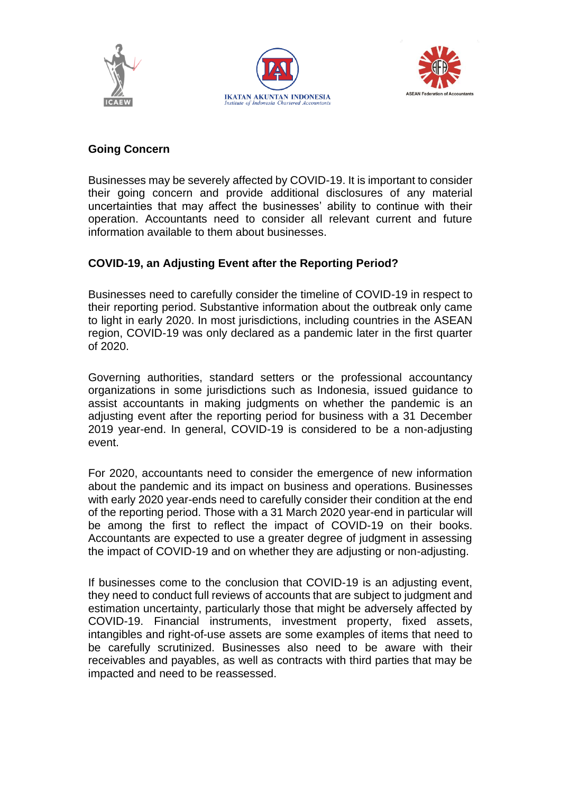





#### **Going Concern**

Businesses may be severely affected by COVID-19. It is important to consider their going concern and provide additional disclosures of any material uncertainties that may affect the businesses' ability to continue with their operation. Accountants need to consider all relevant current and future information available to them about businesses.

#### **COVID-19, an Adjusting Event after the Reporting Period?**

Businesses need to carefully consider the timeline of COVID-19 in respect to their reporting period. Substantive information about the outbreak only came to light in early 2020. In most jurisdictions, including countries in the ASEAN region, COVID-19 was only declared as a pandemic later in the first quarter of 2020.

Governing authorities, standard setters or the professional accountancy organizations in some jurisdictions such as Indonesia, issued guidance to assist accountants in making judgments on whether the pandemic is an adjusting event after the reporting period for business with a 31 December 2019 year-end. In general, COVID-19 is considered to be a non-adjusting event.

For 2020, accountants need to consider the emergence of new information about the pandemic and its impact on business and operations. Businesses with early 2020 year-ends need to carefully consider their condition at the end of the reporting period. Those with a 31 March 2020 year-end in particular will be among the first to reflect the impact of COVID-19 on their books. Accountants are expected to use a greater degree of judgment in assessing the impact of COVID-19 and on whether they are adjusting or non-adjusting.

If businesses come to the conclusion that COVID-19 is an adjusting event, they need to conduct full reviews of accounts that are subject to judgment and estimation uncertainty, particularly those that might be adversely affected by COVID-19. Financial instruments, investment property, fixed assets, intangibles and right-of-use assets are some examples of items that need to be carefully scrutinized. Businesses also need to be aware with their receivables and payables, as well as contracts with third parties that may be impacted and need to be reassessed.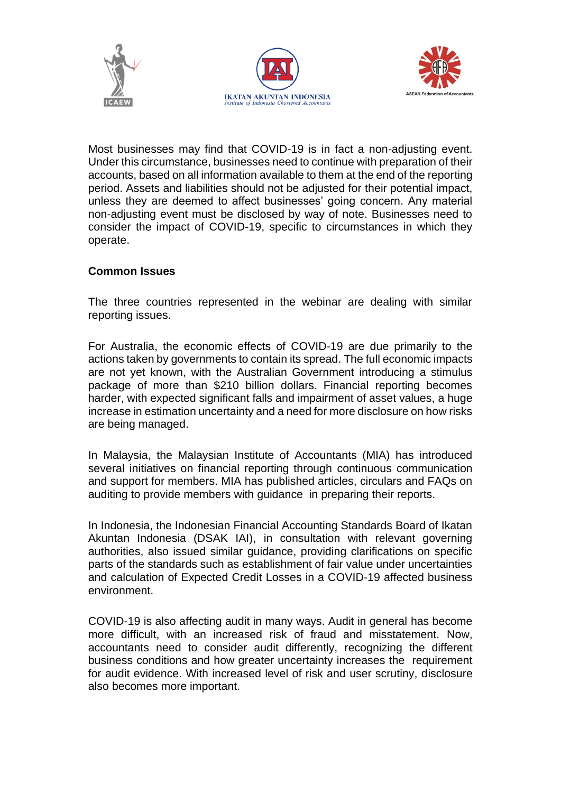





Most businesses may find that COVID-19 is in fact a non-adjusting event. Under this circumstance, businesses need to continue with preparation of their accounts, based on all information available to them at the end of the reporting period. Assets and liabilities should not be adjusted for their potential impact, unless they are deemed to affect businesses' going concern. Any material non-adjusting event must be disclosed by way of note. Businesses need to consider the impact of COVID-19, specific to circumstances in which they operate.

#### **Common Issues**

The three countries represented in the webinar are dealing with similar reporting issues.

For Australia, the economic effects of COVID-19 are due primarily to the actions taken by governments to contain its spread. The full economic impacts are not yet known, with the Australian Government introducing a stimulus package of more than \$210 billion dollars. Financial reporting becomes harder, with expected significant falls and impairment of asset values, a huge increase in estimation uncertainty and a need for more disclosure on how risks are being managed.

In Malaysia, the Malaysian Institute of Accountants (MIA) has introduced several initiatives on financial reporting through continuous communication and support for members. MIA has published articles, circulars and FAQs on auditing to provide members with guidance in preparing their reports.

In Indonesia, the Indonesian Financial Accounting Standards Board of Ikatan Akuntan Indonesia (DSAK IAI), in consultation with relevant governing authorities, also issued similar guidance, providing clarifications on specific parts of the standards such as establishment of fair value under uncertainties and calculation of Expected Credit Losses in a COVID-19 affected business environment.

COVID-19 is also affecting audit in many ways. Audit in general has become more difficult, with an increased risk of fraud and misstatement. Now, accountants need to consider audit differently, recognizing the different business conditions and how greater uncertainty increases the requirement for audit evidence. With increased level of risk and user scrutiny, disclosure also becomes more important.